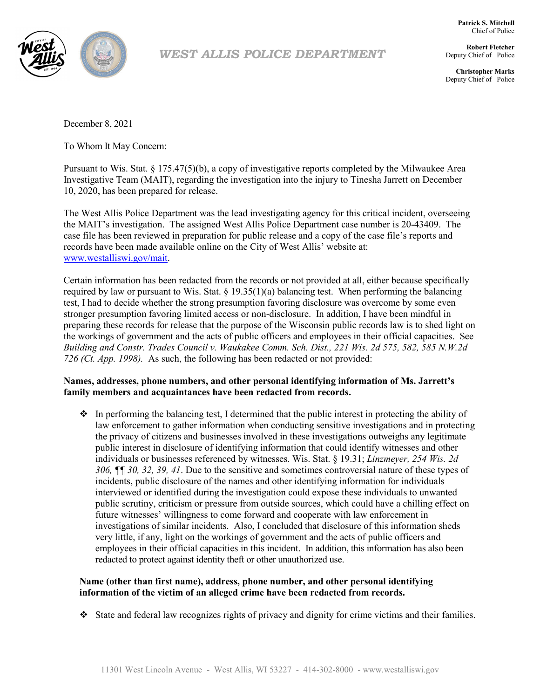

## *WEST ALLIS POLICE DEPARTMENT*

**Patrick S. Mitchell** Chief of Police

**Robert Fletcher** Deputy Chief of Police

**Christopher Marks** Deputy Chief of Police

December 8, 2021

To Whom It May Concern:

Pursuant to Wis. Stat. § 175.47(5)(b), a copy of investigative reports completed by the Milwaukee Area Investigative Team (MAIT), regarding the investigation into the injury to Tinesha Jarrett on December 10, 2020, has been prepared for release.

The West Allis Police Department was the lead investigating agency for this critical incident, overseeing the MAIT's investigation. The assigned West Allis Police Department case number is 20-43409. The case file has been reviewed in preparation for public release and a copy of the case file's reports and records have been made available online on the City of West Allis' website at: www.westalliswi.gov/mait.

 *726 (Ct. App. 1998).* As such, the following has been redacted or not provided: Certain information has been redacted from the records or not provided at all, either because specifically required by law or pursuant to Wis. Stat. § 19.35(1)(a) balancing test. When performing the balancing test, I had to decide whether the strong presumption favoring disclosure was overcome by some even stronger presumption favoring limited access or non-disclosure. In addition, I have been mindful in preparing these records for release that the purpose of the Wisconsin public records law is to shed light on the workings of government and the acts of public officers and employees in their official capacities. See *Building and Constr. Trades Council v. Waukakee Comm. Sch. Dist., 221 Wis. 2d 575, 582, 585 N.W.2d*

## **Names, addresses, phone numbers, and other personal identifying information of Ms. Jarrett's family members and acquaintances have been redacted from records.**

 $\bullet$  In performing the balancing test, I determined that the public interest in protecting the ability of law enforcement to gather information when conducting sensitive investigations and in protecting the privacy of citizens and businesses involved in these investigations outweighs any legitimate public interest in disclosure of identifying information that could identify witnesses and other individuals or businesses referenced by witnesses. Wis. Stat. § 19.31; *Linzmeyer, 254 Wis. 2d 306, ¶¶ 30, 32, 39, 41*. Due to the sensitive and sometimes controversial nature of these types of incidents, public disclosure of the names and other identifying information for individuals interviewed or identified during the investigation could expose these individuals to unwanted public scrutiny, criticism or pressure from outside sources, which could have a chilling effect on future witnesses' willingness to come forward and cooperate with law enforcement in investigations of similar incidents. Also, I concluded that disclosure of this information sheds very little, if any, light on the workings of government and the acts of public officers and employees in their official capacities in this incident. In addition, this information has also been redacted to protect against identity theft or other unauthorized use.

### **Name (other than first name), address, phone number, and other personal identifying information of the victim of an alleged crime have been redacted from records.**

State and federal law recognizes rights of privacy and dignity for crime victims and their families.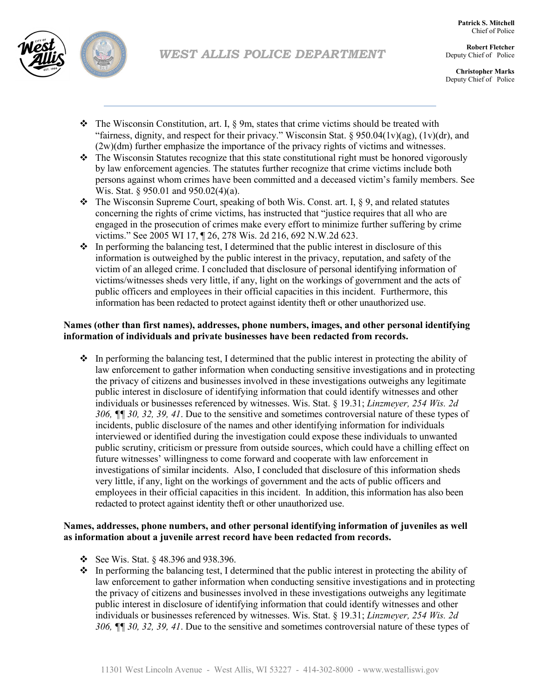



**Robert Fletcher** Deputy Chief of Police

**Christopher Marks** Deputy Chief of Police

- $\hat{\mathbf{v}}$  The Wisconsin Constitution, art. I,  $\S$  9m, states that crime victims should be treated with "fairness, dignity, and respect for their privacy." Wisconsin Stat. § 950.04(1v)(ag), (1v)(dr), and (2w)(dm) further emphasize the importance of the privacy rights of victims and witnesses.
- $\bullet$  The Wisconsin Statutes recognize that this state constitutional right must be honored vigorously by law enforcement agencies. The statutes further recognize that crime victims include both persons against whom crimes have been committed and a deceased victim's family members. See Wis. Stat. § 950.01 and 950.02(4)(a).
- $\bullet\bullet$  The Wisconsin Supreme Court, speaking of both Wis. Const. art. I, § 9, and related statutes concerning the rights of crime victims, has instructed that "justice requires that all who are engaged in the prosecution of crimes make every effort to minimize further suffering by crime victims." See 2005 WI 17, ¶ 26, 278 Wis. 2d 216, 692 N.W.2d 623.
- $\cdot \cdot$  In performing the balancing test, I determined that the public interest in disclosure of this information is outweighed by the public interest in the privacy, reputation, and safety of the victim of an alleged crime. I concluded that disclosure of personal identifying information of victims/witnesses sheds very little, if any, light on the workings of government and the acts of public officers and employees in their official capacities in this incident. Furthermore, this information has been redacted to protect against identity theft or other unauthorized use.

## **Names (other than first names), addresses, phone numbers, images, and other personal identifying information of individuals and private businesses have been redacted from records.**

 $\cdot \cdot$  In performing the balancing test, I determined that the public interest in protecting the ability of law enforcement to gather information when conducting sensitive investigations and in protecting the privacy of citizens and businesses involved in these investigations outweighs any legitimate public interest in disclosure of identifying information that could identify witnesses and other individuals or businesses referenced by witnesses. Wis. Stat. § 19.31; *Linzmeyer, 254 Wis. 2d 306, ¶¶ 30, 32, 39, 41*. Due to the sensitive and sometimes controversial nature of these types of incidents, public disclosure of the names and other identifying information for individuals interviewed or identified during the investigation could expose these individuals to unwanted public scrutiny, criticism or pressure from outside sources, which could have a chilling effect on future witnesses' willingness to come forward and cooperate with law enforcement in investigations of similar incidents. Also, I concluded that disclosure of this information sheds very little, if any, light on the workings of government and the acts of public officers and employees in their official capacities in this incident. In addition, this information has also been redacted to protect against identity theft or other unauthorized use.

## **Names, addresses, phone numbers, and other personal identifying information of juveniles as well as information about a juvenile arrest record have been redacted from records.**

- See Wis. Stat.  $\S$  48.396 and 938.396.
- $\bullet$  In performing the balancing test, I determined that the public interest in protecting the ability of law enforcement to gather information when conducting sensitive investigations and in protecting the privacy of citizens and businesses involved in these investigations outweighs any legitimate public interest in disclosure of identifying information that could identify witnesses and other individuals or businesses referenced by witnesses. Wis. Stat. § 19.31; *Linzmeyer, 254 Wis. 2d 306, ¶¶ 30, 32, 39, 41*. Due to the sensitive and sometimes controversial nature of these types of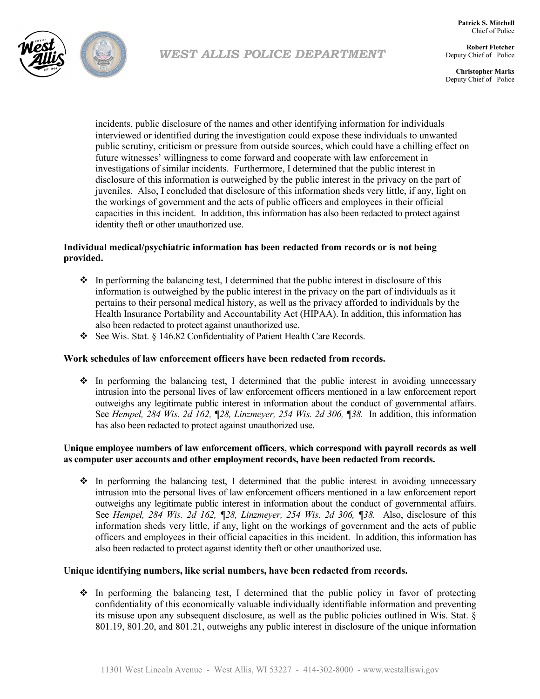**Patrick S. Mitchell** Chief of Police



# *WEST ALLIS POLICE DEPARTMENT*

**Robert Fletcher** Deputy Chief of Police

**Christopher Marks** Deputy Chief of Police

incidents, public disclosure of the names and other identifying information for individuals interviewed or identified during the investigation could expose these individuals to unwanted public scrutiny, criticism or pressure from outside sources, which could have a chilling effect on future witnesses' willingness to come forward and cooperate with law enforcement in investigations of similar incidents. Furthermore, I determined that the public interest in disclosure of this information is outweighed by the public interest in the privacy on the part of juveniles. Also, I concluded that disclosure of this information sheds very little, if any, light on the workings of government and the acts of public officers and employees in their official capacities in this incident. In addition, this information has also been redacted to protect against identity theft or other unauthorized use.

## **Individual medical/psychiatric information has been redacted from records or is not being provided.**

- $\cdot \cdot$  In performing the balancing test, I determined that the public interest in disclosure of this information is outweighed by the public interest in the privacy on the part of individuals as it pertains to their personal medical history, as well as the privacy afforded to individuals by the Health Insurance Portability and Accountability Act (HIPAA). In addition, this information has also been redacted to protect against unauthorized use.
- See Wis. Stat. § 146.82 Confidentiality of Patient Health Care Records.

### **Work schedules of law enforcement officers have been redacted from records.**

 $\div$  In performing the balancing test, I determined that the public interest in avoiding unnecessary intrusion into the personal lives of law enforcement officers mentioned in a law enforcement report outweighs any legitimate public interest in information about the conduct of governmental affairs. See *Hempel, 284 Wis. 2d 162, ¶28, Linzmeyer, 254 Wis. 2d 306, ¶38.* In addition, this information has also been redacted to protect against unauthorized use.

### **Unique employee numbers of law enforcement officers, which correspond with payroll records as well as computer user accounts and other employment records, have been redacted from records.**

 $\div$  In performing the balancing test, I determined that the public interest in avoiding unnecessary intrusion into the personal lives of law enforcement officers mentioned in a law enforcement report outweighs any legitimate public interest in information about the conduct of governmental affairs. See *Hempel, 284 Wis. 2d 162, ¶28, Linzmeyer, 254 Wis. 2d 306, ¶38.* Also, disclosure of this information sheds very little, if any, light on the workings of government and the acts of public officers and employees in their official capacities in this incident. In addition, this information has also been redacted to protect against identity theft or other unauthorized use.

### **Unique identifying numbers, like serial numbers, have been redacted from records.**

 $\cdot \cdot$  In performing the balancing test, I determined that the public policy in favor of protecting confidentiality of this economically valuable individually identifiable information and preventing its misuse upon any subsequent disclosure, as well as the public policies outlined in Wis. Stat. § 801.19, 801.20, and 801.21, outweighs any public interest in disclosure of the unique information